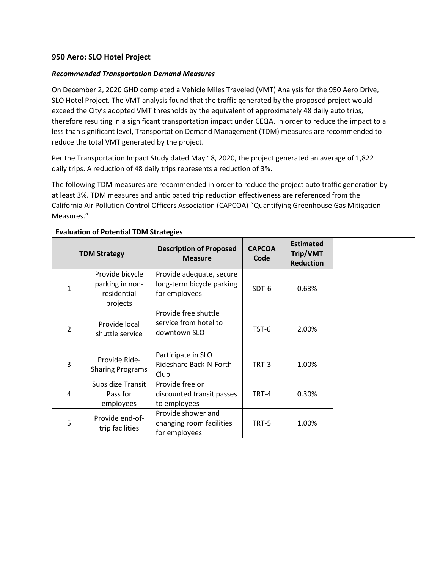## **950 Aero: SLO Hotel Project**

## *Recommended Transportation Demand Measures*

On December 2, 2020 GHD completed a Vehicle Miles Traveled (VMT) Analysis for the 950 Aero Drive, SLO Hotel Project. The VMT analysis found that the traffic generated by the proposed project would exceed the City's adopted VMT thresholds by the equivalent of approximately 48 daily auto trips, therefore resulting in a significant transportation impact under CEQA. In order to reduce the impact to a less than significant level, Transportation Demand Management (TDM) measures are recommended to reduce the total VMT generated by the project.

Per the Transportation Impact Study dated May 18, 2020, the project generated an average of 1,822 daily trips. A reduction of 48 daily trips represents a reduction of 3%.

The following TDM measures are recommended in order to reduce the project auto traffic generation by at least 3%. TDM measures and anticipated trip reduction effectiveness are referenced from the California Air Pollution Control Officers Association (CAPCOA) "Quantifying Greenhouse Gas Mitigation Measures."

|                | <b>TDM Strategy</b>                                           | <b>Description of Proposed</b><br><b>Measure</b>                       | <b>CAPCOA</b><br>Code | <b>Estimated</b><br>Trip/VMT<br><b>Reduction</b> |
|----------------|---------------------------------------------------------------|------------------------------------------------------------------------|-----------------------|--------------------------------------------------|
| $\mathbf{1}$   | Provide bicycle<br>parking in non-<br>residential<br>projects | Provide adequate, secure<br>long-term bicycle parking<br>for employees | SDT-6                 | 0.63%                                            |
| $\overline{2}$ | Provide local<br>shuttle service                              | Provide free shuttle<br>service from hotel to<br>downtown SLO          | TST-6                 | 2.00%                                            |
| 3              | Provide Ride-<br><b>Sharing Programs</b>                      | Participate in SLO<br>Rideshare Back-N-Forth<br>Club                   | TRT-3                 | 1.00%                                            |
| 4              | Subsidize Transit<br>Pass for<br>employees                    | Provide free or<br>discounted transit passes<br>to employees           | TRT-4                 | 0.30%                                            |
| 5              | Provide end-of-<br>trip facilities                            | Provide shower and<br>changing room facilities<br>for employees        | TRT-5                 | 1.00%                                            |

## **Evaluation of Potential TDM Strategies**